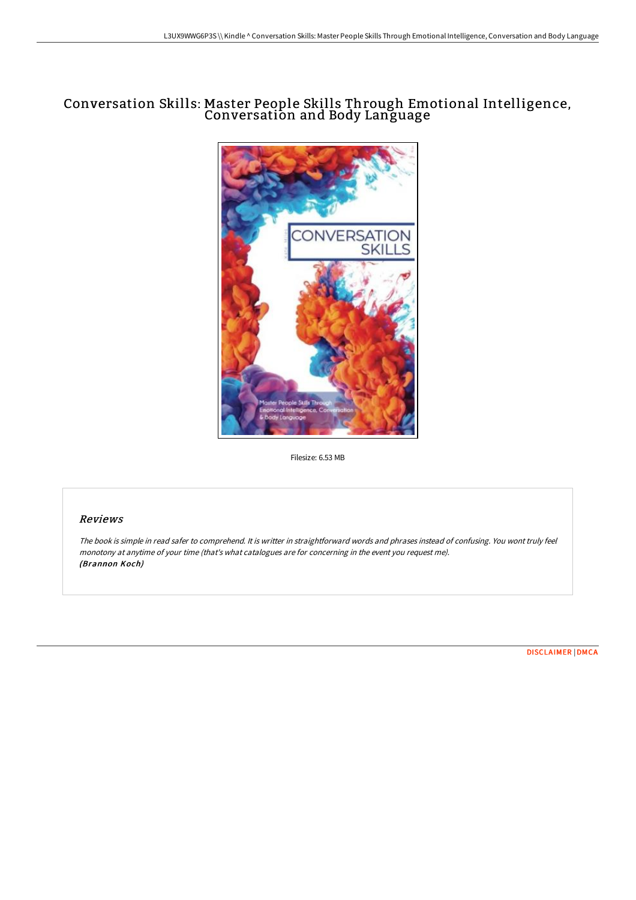# Conversation Skills: Master People Skills Through Emotional Intelligence, Conversation and Body Language



Filesize: 6.53 MB

# Reviews

The book is simple in read safer to comprehend. It is writter in straightforward words and phrases instead of confusing. You wont truly feel monotony at anytime of your time (that's what catalogues are for concerning in the event you request me). (Brannon Koch)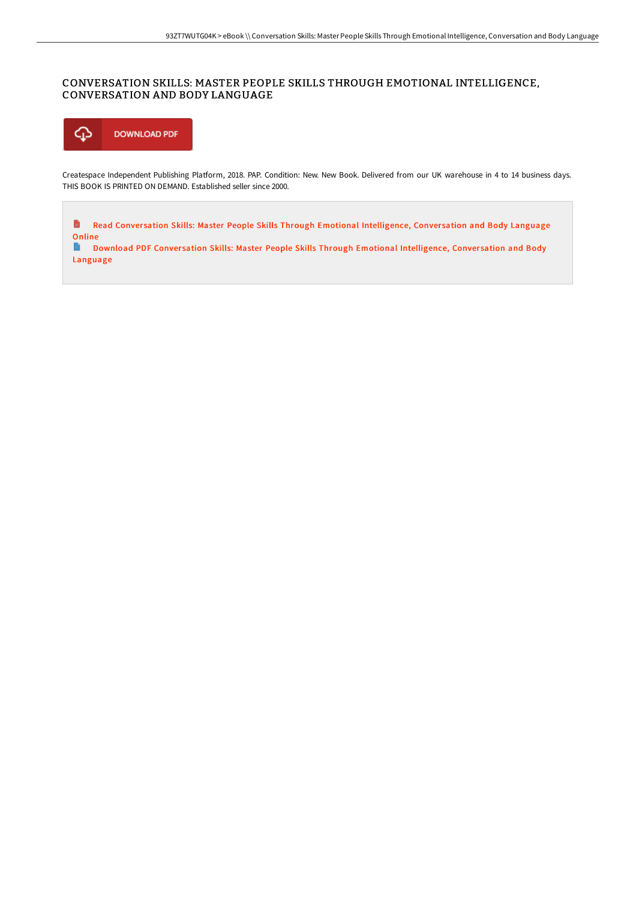## CONVERSATION SKILLS: MASTER PEOPLE SKILLS THROUGH EMOTIONAL INTELLIGENCE, CONVERSATION AND BODY LANGUAGE



Createspace Independent Publishing Platform, 2018. PAP. Condition: New. New Book. Delivered from our UK warehouse in 4 to 14 business days. THIS BOOK IS PRINTED ON DEMAND. Established seller since 2000.

 $\blacksquare$ Read Conversation Skills: Master People Skills Through Emotional [Intelligence,](http://digilib.live/conversation-skills-master-people-skills-through.html) Conversation and Body Language Online

 $\blacksquare$ Download PDF Conversation Skills: Master People Skills Through Emotional [Intelligence,](http://digilib.live/conversation-skills-master-people-skills-through.html) Conversation and Body Language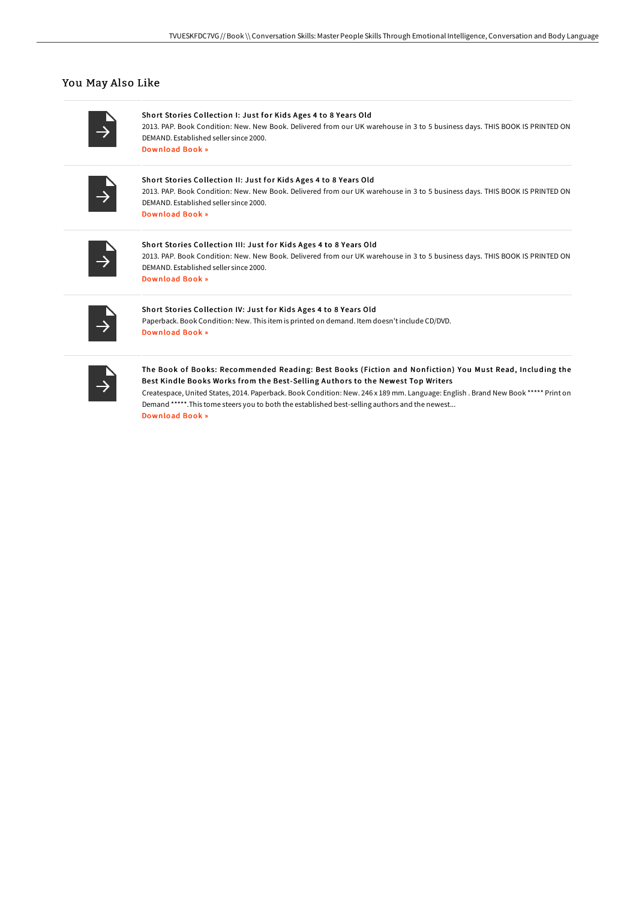### You May Also Like

Short Stories Collection I: Just for Kids Ages 4 to 8 Years Old 2013. PAP. Book Condition: New. New Book. Delivered from our UK warehouse in 3 to 5 business days. THIS BOOK IS PRINTED ON DEMAND. Established seller since 2000. [Download](http://digilib.live/short-stories-collection-i-just-for-kids-ages-4-.html) Book »

#### Short Stories Collection II: Just for Kids Ages 4 to 8 Years Old

2013. PAP. Book Condition: New. New Book. Delivered from our UK warehouse in 3 to 5 business days. THIS BOOK IS PRINTED ON DEMAND. Established seller since 2000. [Download](http://digilib.live/short-stories-collection-ii-just-for-kids-ages-4.html) Book »

#### Short Stories Collection III: Just for Kids Ages 4 to 8 Years Old 2013. PAP. Book Condition: New. New Book. Delivered from our UK warehouse in 3 to 5 business days. THIS BOOK IS PRINTED ON DEMAND. Established seller since 2000. [Download](http://digilib.live/short-stories-collection-iii-just-for-kids-ages-.html) Book »

#### Short Stories Collection IV: Just for Kids Ages 4 to 8 Years Old

Paperback. Book Condition: New. This item is printed on demand. Item doesn't include CD/DVD. [Download](http://digilib.live/short-stories-collection-iv-just-for-kids-ages-4.html) Book »

### The Book of Books: Recommended Reading: Best Books (Fiction and Nonfiction) You Must Read, Including the Best Kindle Books Works from the Best-Selling Authors to the Newest Top Writers

Createspace, United States, 2014. Paperback. Book Condition: New. 246 x 189 mm. Language: English . Brand New Book \*\*\*\*\* Print on Demand \*\*\*\*\*.This tome steers you to both the established best-selling authors and the newest... [Download](http://digilib.live/the-book-of-books-recommended-reading-best-books.html) Book »